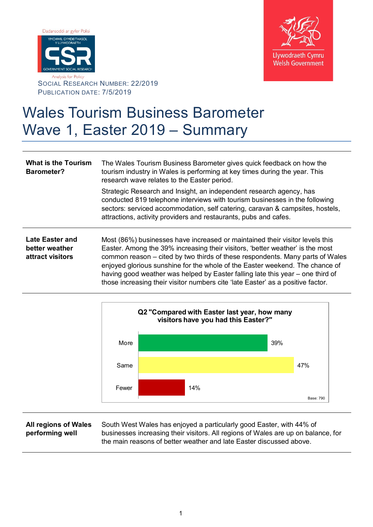



SOCIAL RESEARCH NUMBER: 22/2019 PUBLICATION DATE: 7/5/2019

## Wales Tourism Business Barometer Wave 1, Easter 2019 – Summary

**What is the Tourism Barometer?** The Wales Tourism Business Barometer gives quick feedback on how the tourism industry in Wales is performing at key times during the year. This research wave relates to the Easter period. Strategic Research and Insight, an independent research agency, has conducted 819 telephone interviews with tourism businesses in the following sectors: serviced accommodation, self catering, caravan & campsites, hostels, attractions, activity providers and restaurants, pubs and cafes. **Late Easter and better weather attract visitors** Most (86%) businesses have increased or maintained their visitor levels this Easter. Among the 39% increasing their visitors, 'better weather' is the most common reason – cited by two thirds of these respondents. Many parts of Wales enjoyed glorious sunshine for the whole of the Easter weekend. The chance of having good weather was helped by Easter falling late this year – one third of those increasing their visitor numbers cite 'late Easter' as a positive factor.



## **All regions of Wales performing well**

South West Wales has enjoyed a particularly good Easter, with 44% of businesses increasing their visitors. All regions of Wales are up on balance, for the main reasons of better weather and late Easter discussed above.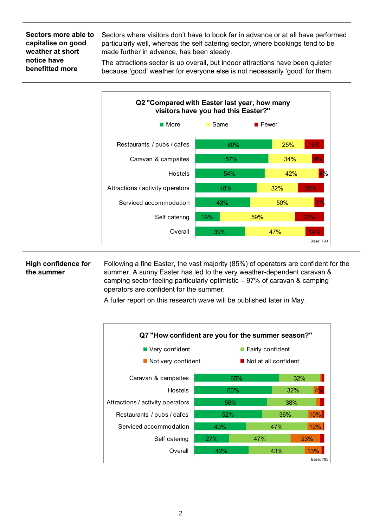**Sectors more able to capitalise on good weather at short notice have benefitted more**

Sectors where visitors don't have to book far in advance or at all have performed particularly well, whereas the self catering sector, where bookings tend to be made further in advance, has been steady.

The attractions sector is up overall, but indoor attractions have been quieter because 'good' weather for everyone else is not necessarily 'good' for them.



## **High confidence for the summer**

Following a fine Easter, the vast majority (85%) of operators are confident for the summer. A sunny Easter has led to the very weather-dependent caravan & camping sector feeling particularly optimistic – 97% of caravan & camping operators are confident for the summer.

A fuller report on this research wave will be published later in May.